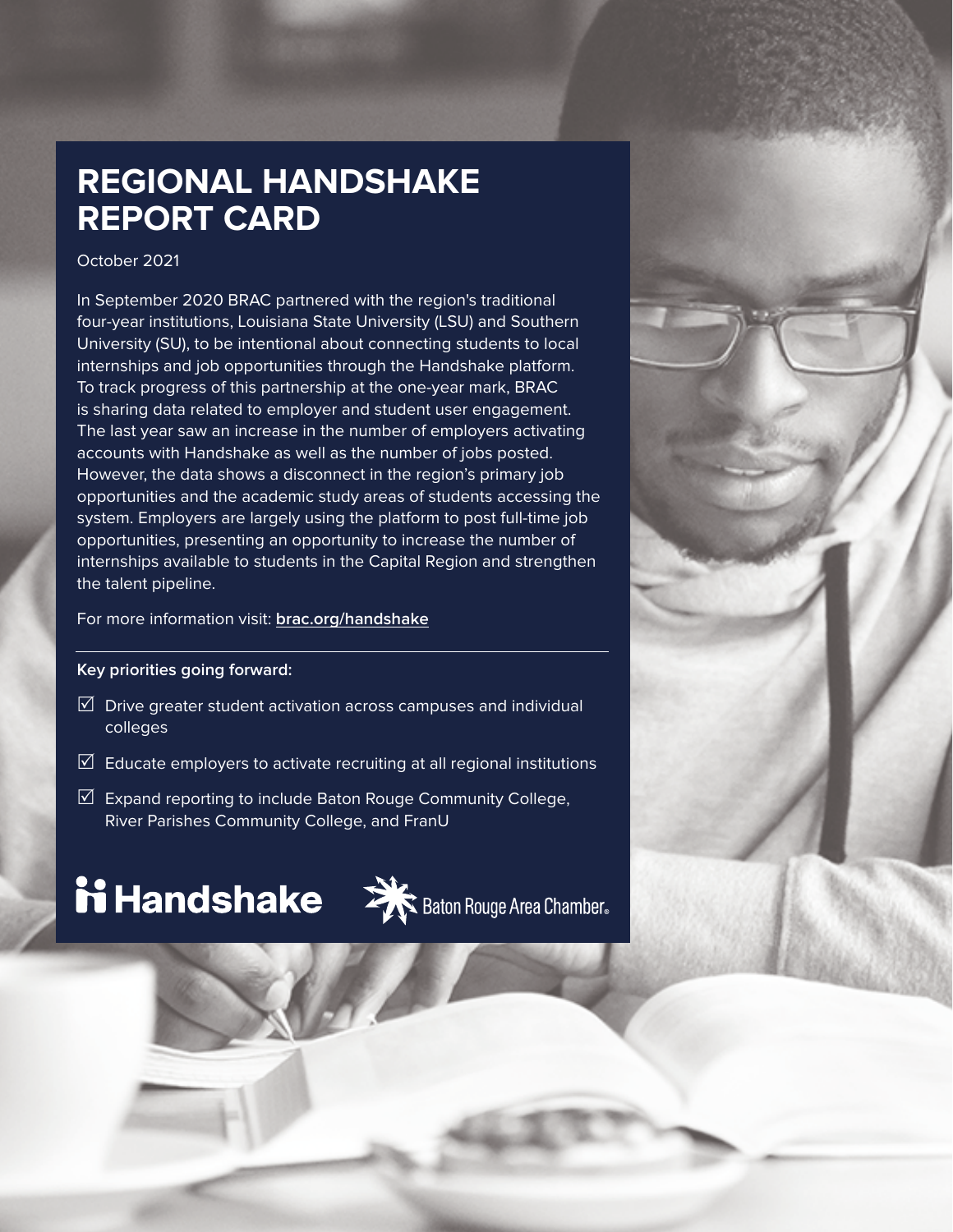## **REGIONAL HANDSHAKE REPORT CARD**

### October 2021

In September 2020 BRAC partnered with the region's traditional four-year institutions, Louisiana State University (LSU) and Southern University (SU), to be intentional about connecting students to local internships and job opportunities through the Handshake platform. To track progress of this partnership at the one-year mark, BRAC is sharing data related to employer and student user engagement. The last year saw an increase in the number of employers activating accounts with Handshake as well as the number of jobs posted. However, the data shows a disconnect in the region's primary job opportunities and the academic study areas of students accessing the system. Employers are largely using the platform to post full-time job opportunities, presenting an opportunity to increase the number of internships available to students in the Capital Region and strengthen the talent pipeline.

#### For more information visit: **[brac.org/handshake](https://brac.org/handshake)**

#### **Key priorities going forward:**

- $\boxtimes$  Drive greater student activation across campuses and individual colleges
- $\mathbb N$  Educate employers to activate recruiting at all regional institutions
- $\mathbb N$  Expand reporting to include Baton Rouge Community College, River Parishes Community College, and FranU

# **ii Handshake**  $\sum_{k}^{n}$  Baton Rouge Area Chamber.